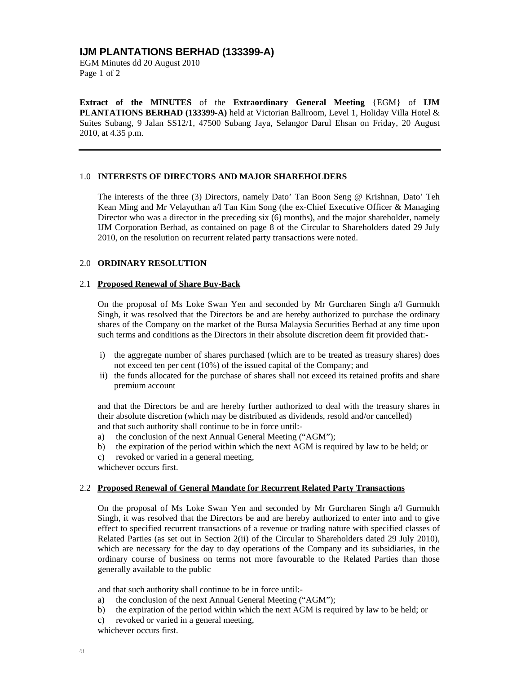# **IJM PLANTATIONS BERHAD (133399-A)**

EGM Minutes dd 20 August 2010 Page 1 of 2

**Extract of the MINUTES** of the **Extraordinary General Meeting** {EGM} of **IJM PLANTATIONS BERHAD (133399-A)** held at Victorian Ballroom, Level 1, Holiday Villa Hotel & Suites Subang, 9 Jalan SS12/1, 47500 Subang Jaya, Selangor Darul Ehsan on Friday, 20 August 2010, at 4.35 p.m.

## 1.0 **INTERESTS OF DIRECTORS AND MAJOR SHAREHOLDERS**

The interests of the three (3) Directors, namely Dato' Tan Boon Seng @ Krishnan, Dato' Teh Kean Ming and Mr Velayuthan a/l Tan Kim Song (the ex-Chief Executive Officer & Managing Director who was a director in the preceding six (6) months), and the major shareholder, namely IJM Corporation Berhad, as contained on page 8 of the Circular to Shareholders dated 29 July 2010, on the resolution on recurrent related party transactions were noted.

#### 2.0 **ORDINARY RESOLUTION**

## 2.1 **Proposed Renewal of Share Buy-Back**

On the proposal of Ms Loke Swan Yen and seconded by Mr Gurcharen Singh a/l Gurmukh Singh, it was resolved that the Directors be and are hereby authorized to purchase the ordinary shares of the Company on the market of the Bursa Malaysia Securities Berhad at any time upon such terms and conditions as the Directors in their absolute discretion deem fit provided that:-

- i) the aggregate number of shares purchased (which are to be treated as treasury shares) does not exceed ten per cent (10%) of the issued capital of the Company; and
- ii) the funds allocated for the purchase of shares shall not exceed its retained profits and share premium account

and that the Directors be and are hereby further authorized to deal with the treasury shares in their absolute discretion (which may be distributed as dividends, resold and/or cancelled) and that such authority shall continue to be in force until:-

- a) the conclusion of the next Annual General Meeting ("AGM");
- b) the expiration of the period within which the next AGM is required by law to be held; or
- c) revoked or varied in a general meeting,
- whichever occurs first.

#### 2.2 **Proposed Renewal of General Mandate for Recurrent Related Party Transactions**

On the proposal of Ms Loke Swan Yen and seconded by Mr Gurcharen Singh a/l Gurmukh Singh, it was resolved that the Directors be and are hereby authorized to enter into and to give effect to specified recurrent transactions of a revenue or trading nature with specified classes of Related Parties (as set out in Section 2(ii) of the Circular to Shareholders dated 29 July 2010), which are necessary for the day to day operations of the Company and its subsidiaries, in the ordinary course of business on terms not more favourable to the Related Parties than those generally available to the public

and that such authority shall continue to be in force until:-

- a) the conclusion of the next Annual General Meeting ("AGM");
- b) the expiration of the period within which the next AGM is required by law to be held; or
- c) revoked or varied in a general meeting,

whichever occurs first.